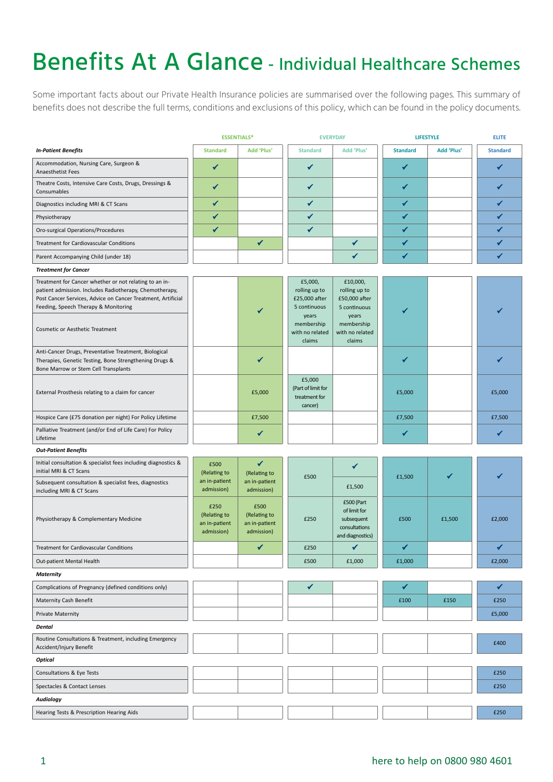## Benefits At A Glance - Individual Healthcare Schemes

Some important facts about our Private Health Insurance policies are summarised over the following pages. This summary of benefits does not describe the full terms, conditions and exclusions of this policy, which can be found in the policy documents.

|                                                                                                                                                                                                                                                                     | <b>ESSENTIALS*</b><br><b>EVERYDAY</b>               |                                                     | <b>LIFESTYLE</b>                                                                                              |                                                                                                                | <b>ELITE</b>    |            |                 |
|---------------------------------------------------------------------------------------------------------------------------------------------------------------------------------------------------------------------------------------------------------------------|-----------------------------------------------------|-----------------------------------------------------|---------------------------------------------------------------------------------------------------------------|----------------------------------------------------------------------------------------------------------------|-----------------|------------|-----------------|
| <b>In-Patient Benefits</b>                                                                                                                                                                                                                                          | <b>Standard</b>                                     | Add 'Plus'                                          | <b>Standard</b>                                                                                               | Add 'Plus'                                                                                                     | <b>Standard</b> | Add 'Plus' | <b>Standard</b> |
| Accommodation, Nursing Care, Surgeon &<br>Anaesthetist Fees                                                                                                                                                                                                         | ✔                                                   |                                                     | ✔                                                                                                             |                                                                                                                | ✔               |            | ✔               |
| Theatre Costs, Intensive Care Costs, Drugs, Dressings &<br>Consumables                                                                                                                                                                                              | ✔                                                   |                                                     | ✔                                                                                                             |                                                                                                                | ✔               |            |                 |
| Diagnostics including MRI & CT Scans                                                                                                                                                                                                                                | ✔                                                   |                                                     | ✔                                                                                                             |                                                                                                                | ✔               |            |                 |
| Physiotherapy                                                                                                                                                                                                                                                       | ✓                                                   |                                                     | ✔                                                                                                             |                                                                                                                | ✔               |            |                 |
| Oro-surgical Operations/Procedures                                                                                                                                                                                                                                  | ✓                                                   |                                                     | ✔                                                                                                             |                                                                                                                | ✔               |            | ✔               |
| Treatment for Cardiovascular Conditions                                                                                                                                                                                                                             |                                                     | ✔                                                   |                                                                                                               | ✔                                                                                                              | $\checkmark$    |            |                 |
| Parent Accompanying Child (under 18)                                                                                                                                                                                                                                |                                                     |                                                     |                                                                                                               | ✔                                                                                                              | $\checkmark$    |            | ✔               |
| <b>Treatment for Cancer</b>                                                                                                                                                                                                                                         |                                                     |                                                     |                                                                                                               |                                                                                                                |                 |            |                 |
| Treatment for Cancer whether or not relating to an in-<br>patient admission. Includes Radiotherapy, Chemotherapy,<br>Post Cancer Services, Advice on Cancer Treatment, Artificial<br>Feeding, Speech Therapy & Monitoring<br><b>Cosmetic or Aesthetic Treatment</b> |                                                     |                                                     | £5,000,<br>rolling up to<br>£25,000 after<br>5 continuous<br>years<br>membership<br>with no related<br>claims | £10,000,<br>rolling up to<br>£50,000 after<br>5 continuous<br>years<br>membership<br>with no related<br>claims |                 |            |                 |
| Anti-Cancer Drugs, Preventative Treatment, Biological<br>Therapies, Genetic Testing, Bone Strengthening Drugs &<br>Bone Marrow or Stem Cell Transplants                                                                                                             |                                                     | ✔                                                   |                                                                                                               |                                                                                                                |                 |            |                 |
| External Prosthesis relating to a claim for cancer                                                                                                                                                                                                                  |                                                     | £5,000                                              | £5,000<br>(Part of limit for<br>treatment for<br>cancer)                                                      |                                                                                                                | £5,000          |            | £5,000          |
| Hospice Care (£75 donation per night) For Policy Lifetime                                                                                                                                                                                                           |                                                     | £7,500                                              |                                                                                                               |                                                                                                                | £7,500          |            | £7,500          |
| Palliative Treatment (and/or End of Life Care) For Policy<br>Lifetime                                                                                                                                                                                               |                                                     | ✔                                                   |                                                                                                               |                                                                                                                | ✔               |            | ✔               |
| <b>Out-Patient Benefits</b>                                                                                                                                                                                                                                         |                                                     |                                                     |                                                                                                               |                                                                                                                |                 |            |                 |
| Initial consultation & specialist fees including diagnostics &<br>initial MRI & CT Scans                                                                                                                                                                            | £500<br>(Relating to                                | ✔<br>(Relating to                                   |                                                                                                               | ✔                                                                                                              |                 |            |                 |
| Subsequent consultation & specialist fees, diagnostics<br>including MRI & CT Scans                                                                                                                                                                                  | an in-patient<br>admission)                         | an in-patient<br>admission)                         | £500                                                                                                          | £1,500<br>£1,500                                                                                               |                 |            |                 |
| Physiotherapy & Complementary Medicine                                                                                                                                                                                                                              | £250<br>(Relating to<br>an in-patient<br>admission) | £500<br>(Relating to<br>an in-patient<br>admission) | £250                                                                                                          | £500 (Part<br>of limit for<br>subsequent<br>consultations<br>and diagnostics)                                  | £500            | £1,500     | £2,000          |
| Treatment for Cardiovascular Conditions                                                                                                                                                                                                                             |                                                     | ✔                                                   | £250                                                                                                          | ✔                                                                                                              | ✔               |            | ✔               |
| Out-patient Mental Health                                                                                                                                                                                                                                           |                                                     |                                                     | £500                                                                                                          | £1,000                                                                                                         | £1,000          |            | £2,000          |
| <b>Maternity</b>                                                                                                                                                                                                                                                    |                                                     |                                                     |                                                                                                               |                                                                                                                |                 |            |                 |
| Complications of Pregnancy (defined conditions only)                                                                                                                                                                                                                |                                                     |                                                     | $\checkmark$                                                                                                  |                                                                                                                | ✔               |            | ✔               |
| Maternity Cash Benefit                                                                                                                                                                                                                                              |                                                     |                                                     |                                                                                                               |                                                                                                                | £100            | £150       | £250            |
| <b>Private Maternity</b>                                                                                                                                                                                                                                            |                                                     |                                                     |                                                                                                               |                                                                                                                |                 |            | £5,000          |
| Dental                                                                                                                                                                                                                                                              |                                                     |                                                     |                                                                                                               |                                                                                                                |                 |            |                 |
| Routine Consultations & Treatment, including Emergency<br>Accident/Injury Benefit                                                                                                                                                                                   |                                                     |                                                     |                                                                                                               |                                                                                                                |                 |            | £400            |
| <b>Optical</b>                                                                                                                                                                                                                                                      |                                                     |                                                     |                                                                                                               |                                                                                                                |                 |            |                 |
| Consultations & Eye Tests                                                                                                                                                                                                                                           |                                                     |                                                     |                                                                                                               |                                                                                                                |                 |            | £250            |
| Spectacles & Contact Lenses                                                                                                                                                                                                                                         |                                                     |                                                     |                                                                                                               |                                                                                                                |                 |            | £250            |
| <b>Audiology</b>                                                                                                                                                                                                                                                    |                                                     |                                                     |                                                                                                               |                                                                                                                |                 |            |                 |
| Hearing Tests & Prescription Hearing Aids                                                                                                                                                                                                                           |                                                     |                                                     |                                                                                                               |                                                                                                                |                 |            | £250            |